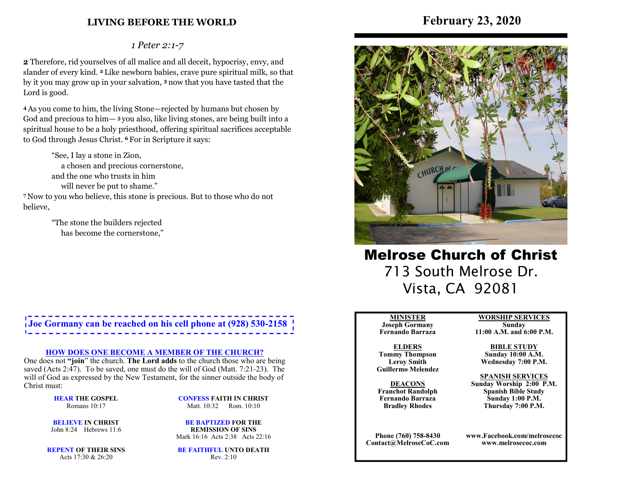### **LIVING BEFORE THE WORLD**

# **February 23, 2020**

### *1 Peter 2:1-7*

**2** Therefore, rid yourselves of all malice and all deceit, hypocrisy, envy, and slander of every kind. **2** Like newborn babies, crave pure spiritual milk, so that by it you may grow up in your salvation, **3** now that you have tasted that the Lord is good.

**4** As you come to him, the living Stone—rejected by humans but chosen by God and precious to him— **<sup>5</sup>**you also, like living stones, are being built into a spiritual house to be a holy priesthood, offering spiritual sacrifices acceptable to God through Jesus Christ. **6** For in Scripture it says:

 "See, I lay a stone in Zion, a chosen and precious cornerstone, and the one who trusts in him will never be put to shame." **7** Now to you who believe, this stone is precious. But to those who do not

> "The stone the builders rejected has become the cornerstone,"

believe,

**Joe Gormany can be reached on his cell phone at (928) 530-2158**

#### **HOW DOES ONE BECOME A MEMBER OF THE CHURCH?**

 One does not **"join**" the church. **The Lord adds** to the church those who are being saved (Acts 2:47). To be saved, one must do the will of God (Matt. 7:21-23). The will of God as expressed by the New Testament, for the sinner outside the body of Christ must:

> **HEAR THE GOSPEL**Romans 10:17

**CONFESS FAITH IN CHRIST**Matt. 10:32 Rom. 10:10

**BELIEVE IN CHRIST**John 8:24 Hebrews 11:6

**BE BAPTIZED FOR THE REMISSION OF SINS**Mark 16:16 Acts 2:38 Acts 22:16

**REPENT OF THEIR SINS**Acts 17:30 & 26:20

**BE FAITHFUL UNTO DEATH**Rev. 2:10



Melrose Church of Christ 713 South Melrose Dr. Vista, CA 92081

#### **MINISTER**

 **Joseph Gormany Fernando Barraza**

**ELDERS Tommy Thompson Leroy SmithGuillermo Melendez** 

**DEACONS Franchot Randolph Fernando BarrazaBradley Rhodes**

**Phone (760) 758-8430Contact@MelroseCoC.com** **WORSHIP SERVICESSunday** 

**11:00 A.M. and 6:00 P.M.**

**BIBLE STUDY Sunday 10:00 A.M.Wednesday 7:00 P.M.**

**SPANISH SERVICES** 

 **Sunday Worship 2:00 P.M.Spanish Bible Study Sunday 1:00 P.M.Thursday 7:00 P.M.**

**www.Facebook.com/melrosecocwww.melrosecoc.com**